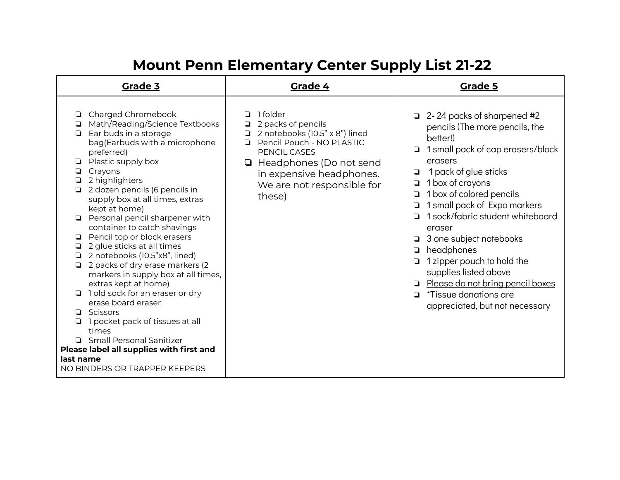| <b>Grade 3</b>                                                                                                                                                                                                                                                                                                                                                                                                                                                                                                                                                                                                                                                                                                                                                                                                             | Grade 4                                                                                                                                                                                                             | <b>Grade 5</b>                                                                                                                                                                                                                                                                                                                                                                                                                                                                                                                                                   |
|----------------------------------------------------------------------------------------------------------------------------------------------------------------------------------------------------------------------------------------------------------------------------------------------------------------------------------------------------------------------------------------------------------------------------------------------------------------------------------------------------------------------------------------------------------------------------------------------------------------------------------------------------------------------------------------------------------------------------------------------------------------------------------------------------------------------------|---------------------------------------------------------------------------------------------------------------------------------------------------------------------------------------------------------------------|------------------------------------------------------------------------------------------------------------------------------------------------------------------------------------------------------------------------------------------------------------------------------------------------------------------------------------------------------------------------------------------------------------------------------------------------------------------------------------------------------------------------------------------------------------------|
| Charged Chromebook<br>Math/Reading/Science Textbooks<br>▫<br>Ear buds in a storage<br>▫<br>bag(Earbuds with a microphone<br>preferred)<br>Plastic supply box<br>◘<br>Crayons<br>2 highlighters<br>❏<br>2 dozen pencils (6 pencils in<br>supply box at all times, extras<br>kept at home)<br>Personal pencil sharpener with<br>container to catch shavings<br>Pencil top or block erasers<br>⊔<br>2 glue sticks at all times<br>❏<br>2 notebooks (10.5"x8", lined)<br>⊔<br>2 packs of dry erase markers (2<br>❏<br>markers in supply box at all times,<br>extras kept at home)<br>1 old sock for an eraser or dry<br>erase board eraser<br>Scissors<br>O.<br>1 pocket pack of tissues at all<br>times<br>Small Personal Sanitizer<br>Please label all supplies with first and<br>last name<br>NO BINDERS OR TRAPPER KEEPERS | 1 folder<br>2 packs of pencils<br>2 notebooks (10.5" x 8") lined<br>Pencil Pouch - NO PLASTIC<br>◘<br>PENCIL CASES<br>□ Headphones (Do not send<br>in expensive headphones.<br>We are not responsible for<br>these) | 2-24 packs of sharpened #2<br>$\Box$<br>pencils (The more pencils, the<br>better!)<br>1 small pack of cap erasers/block<br>$\Box$<br>erasers<br>1 pack of glue sticks<br>⊡<br>1 box of crayons<br>❏<br>1 box of colored pencils<br>❏<br>1 small pack of Expo markers<br>❏<br>1 sock/fabric student whiteboard<br>◻<br>eraser<br>3 one subject notebooks<br>▫<br>headphones<br>$\Box$<br>1 zipper pouch to hold the<br>◘<br>supplies listed above<br>Please do not bring pencil boxes<br><i>*Tissue donations are</i><br>$\Box$<br>appreciated, but not necessary |
|                                                                                                                                                                                                                                                                                                                                                                                                                                                                                                                                                                                                                                                                                                                                                                                                                            |                                                                                                                                                                                                                     |                                                                                                                                                                                                                                                                                                                                                                                                                                                                                                                                                                  |

## **Mount Penn Elementary Center Supply List 21-22**